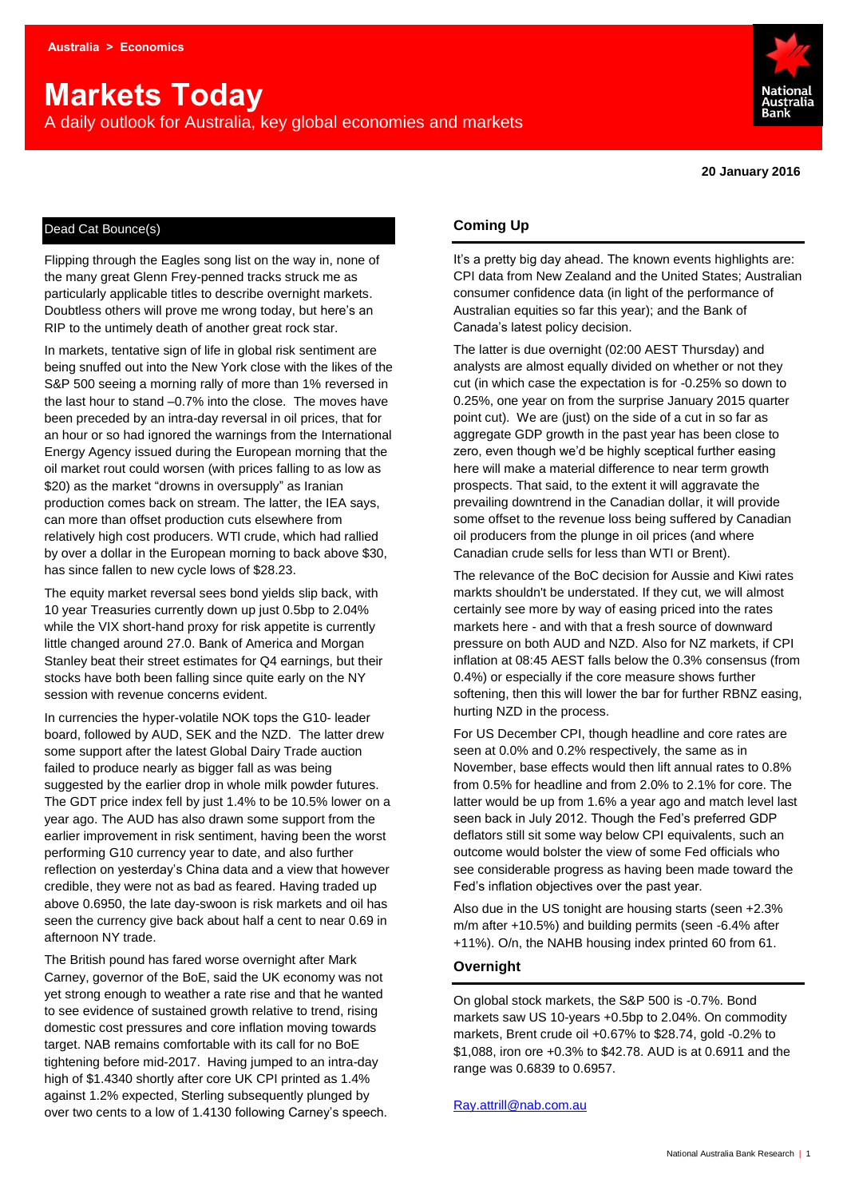# **Markets Today**

A daily outlook for Australia, key global economies and markets



**20 January 2016**

#### Dead Cat Bounce(s)

Flipping through the Eagles song list on the way in, none of the many great Glenn Frey-penned tracks struck me as particularly applicable titles to describe overnight markets. Doubtless others will prove me wrong today, but here's an RIP to the untimely death of another great rock star.

In markets, tentative sign of life in global risk sentiment are being snuffed out into the New York close with the likes of the S&P 500 seeing a morning rally of more than 1% reversed in the last hour to stand –0.7% into the close. The moves have been preceded by an intra-day reversal in oil prices, that for an hour or so had ignored the warnings from the International Energy Agency issued during the European morning that the oil market rout could worsen (with prices falling to as low as \$20) as the market "drowns in oversupply" as Iranian production comes back on stream. The latter, the IEA says, can more than offset production cuts elsewhere from relatively high cost producers. WTI crude, which had rallied by over a dollar in the European morning to back above \$30, has since fallen to new cycle lows of \$28.23.

The equity market reversal sees bond yields slip back, with 10 year Treasuries currently down up just 0.5bp to 2.04% while the VIX short-hand proxy for risk appetite is currently little changed around 27.0. Bank of America and Morgan Stanley beat their street estimates for Q4 earnings, but their stocks have both been falling since quite early on the NY session with revenue concerns evident.

In currencies the hyper-volatile NOK tops the G10- leader board, followed by AUD, SEK and the NZD. The latter drew some support after the latest Global Dairy Trade auction failed to produce nearly as bigger fall as was being suggested by the earlier drop in whole milk powder futures. The GDT price index fell by just 1.4% to be 10.5% lower on a year ago. The AUD has also drawn some support from the earlier improvement in risk sentiment, having been the worst performing G10 currency year to date, and also further reflection on yesterday's China data and a view that however credible, they were not as bad as feared. Having traded up above 0.6950, the late day-swoon is risk markets and oil has seen the currency give back about half a cent to near 0.69 in afternoon NY trade.

The British pound has fared worse overnight after Mark Carney, governor of the BoE, said the UK economy was not yet strong enough to weather a rate rise and that he wanted to see evidence of sustained growth relative to trend, rising domestic cost pressures and core inflation moving towards target. NAB remains comfortable with its call for no BoE tightening before mid-2017. Having jumped to an intra-day high of \$1.4340 shortly after core UK CPI printed as 1.4% against 1.2% expected, Sterling subsequently plunged by over two cents to a low of 1.4130 following Carney's speech.

#### **Coming Up**

It's a pretty big day ahead. The known events highlights are: CPI data from New Zealand and the United States; Australian consumer confidence data (in light of the performance of Australian equities so far this year); and the Bank of Canada's latest policy decision.

The latter is due overnight (02:00 AEST Thursday) and analysts are almost equally divided on whether or not they cut (in which case the expectation is for -0.25% so down to 0.25%, one year on from the surprise January 2015 quarter point cut). We are (just) on the side of a cut in so far as aggregate GDP growth in the past year has been close to zero, even though we'd be highly sceptical further easing here will make a material difference to near term growth prospects. That said, to the extent it will aggravate the prevailing downtrend in the Canadian dollar, it will provide some offset to the revenue loss being suffered by Canadian oil producers from the plunge in oil prices (and where Canadian crude sells for less than WTI or Brent).

The relevance of the BoC decision for Aussie and Kiwi rates markts shouldn't be understated. If they cut, we will almost certainly see more by way of easing priced into the rates markets here - and with that a fresh source of downward pressure on both AUD and NZD. Also for NZ markets, if CPI inflation at 08:45 AEST falls below the 0.3% consensus (from 0.4%) or especially if the core measure shows further softening, then this will lower the bar for further RBNZ easing, hurting NZD in the process.

For US December CPI, though headline and core rates are seen at 0.0% and 0.2% respectively, the same as in November, base effects would then lift annual rates to 0.8% from 0.5% for headline and from 2.0% to 2.1% for core. The latter would be up from 1.6% a year ago and match level last seen back in July 2012. Though the Fed's preferred GDP deflators still sit some way below CPI equivalents, such an outcome would bolster the view of some Fed officials who see considerable progress as having been made toward the Fed's inflation objectives over the past year.

Also due in the US tonight are housing starts (seen +2.3% m/m after +10.5%) and building permits (seen -6.4% after +11%). O/n, the NAHB housing index printed 60 from 61.

#### **Overnight**

On global stock markets, the S&P 500 is -0.7%. Bond markets saw US 10-years +0.5bp to 2.04%. On commodity markets, Brent crude oil +0.67% to \$28.74, gold -0.2% to \$1,088, iron ore +0.3% to \$42.78. AUD is at 0.6911 and the range was 0.6839 to 0.6957.

#### [Ray.attrill@nab.com.au](mailto:Ray.attrill@nab.com.au)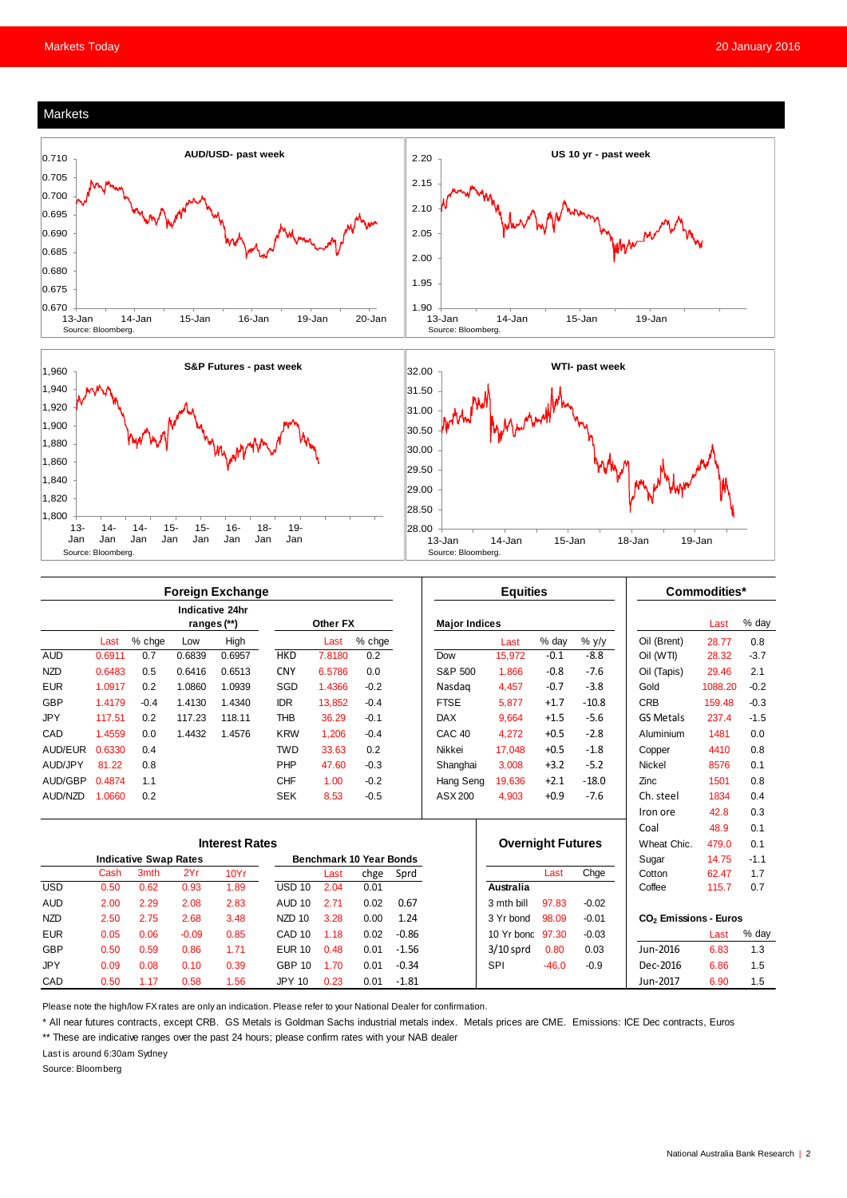#### Markets







|                              | <b>Foreign Exchange</b> |        |             |                 |                                |          |        |         | <b>Equities</b>          |             |         |             | Commodities*                      |         |        |
|------------------------------|-------------------------|--------|-------------|-----------------|--------------------------------|----------|--------|---------|--------------------------|-------------|---------|-------------|-----------------------------------|---------|--------|
|                              |                         |        | ranges (**) | Indicative 24hr |                                | Other FX |        |         | <b>Major Indices</b>     |             |         |             |                                   | Last    | % day  |
|                              | Last                    | % chge | Low         | High            |                                | Last     | % chge |         |                          | Last        | % day   | $%$ y/y     | Oil (Brent)                       | 28.77   | 0.8    |
| <b>AUD</b>                   | 0.6911                  | 0.7    | 0.6839      | 0.6957          | <b>HKD</b>                     | 7.8180   | 0.2    |         | Dow                      | 15.972      | $-0.1$  | $-8.8$      | Oil (WTI)                         | 28.32   | $-3.7$ |
| <b>NZD</b>                   | 0.6483                  | 0.5    | 0.6416      | 0.6513          | <b>CNY</b>                     | 6.5786   | 0.0    |         | S&P 500                  | 1.866       | $-0.8$  | $-7.6$      | Oil (Tapis)                       | 29.46   | 2.1    |
| <b>EUR</b>                   | 1.0917                  | 0.2    | 1.0860      | 1.0939          | SGD                            | 1.4366   | $-0.2$ |         | Nasdag                   | 4.457       | $-0.7$  | $-3.8$      | Gold                              | 1088.20 | $-0.2$ |
| <b>GBP</b>                   | 1.4179                  | $-0.4$ | 1.4130      | 1.4340          | <b>IDR</b>                     | 13.852   | $-0.4$ |         | <b>FTSE</b>              | 5.877       | $+1.7$  | $-10.8$     | <b>CRB</b>                        | 159.48  | $-0.3$ |
| <b>JPY</b>                   | 117.51                  | 0.2    | 117.23      | 118.11          | <b>THB</b>                     | 36.29    | $-0.1$ |         | <b>DAX</b>               | 9.664       | $+1.5$  | $-5.6$      | <b>GS Metals</b>                  | 237.4   | $-1.5$ |
| CAD                          | 1.4559                  | 0.0    | 1.4432      | 1.4576          | <b>KRW</b>                     | 1.206    | $-0.4$ |         | CAC <sub>40</sub>        | 4.272       | $+0.5$  | $-2.8$      | Aluminium                         | 1481    | 0.0    |
| AUD/EUR                      | 0.6330                  | 0.4    |             |                 | <b>TWD</b>                     | 33.63    | 0.2    |         | Nikkei                   | 17.048      | $+0.5$  | $-1.8$      | Copper                            | 4410    | 0.8    |
| AUD/JPY                      | 81.22                   | 0.8    |             |                 | PHP                            | 47.60    | $-0.3$ |         | Shanghai                 | 3,008       | $+3.2$  | $-5.2$      | <b>Nickel</b>                     | 8576    | 0.1    |
| AUD/GBP                      | 0.4874                  | 1.1    |             |                 | <b>CHF</b>                     | 1.00     | $-0.2$ |         | Hang Seng                | 19.636      | $+2.1$  | $-18.0$     | Zinc                              | 1501    | 0.8    |
| AUD/NZD                      | 1.0660                  | 0.2    |             |                 | <b>SEK</b>                     | 8.53     | $-0.5$ |         | ASX 200                  | 4,903       | $+0.9$  | $-7.6$      | Ch. steel                         | 1834    | 0.4    |
|                              |                         |        |             |                 |                                |          |        |         |                          |             |         |             | Iron ore                          | 42.8    | 0.3    |
|                              |                         |        |             |                 |                                |          |        |         |                          |             |         |             | Coal                              | 48.9    | 0.1    |
| <b>Interest Rates</b>        |                         |        |             |                 |                                |          |        |         | <b>Overnight Futures</b> |             |         | Wheat Chic. | 479.0                             | 0.1     |        |
| <b>Indicative Swap Rates</b> |                         |        |             |                 | <b>Benchmark 10 Year Bonds</b> |          |        |         |                          |             |         | Sugar       | 14.75                             | $-1.1$  |        |
|                              | Cash                    | 3mth   | 2Yr         | 10Yr            |                                | Last     | chge   | Sprd    |                          |             | Last    | Chge        | Cotton                            | 62.47   | 1.7    |
| <b>USD</b>                   | 0.50                    | 0.62   | 0.93        | 1.89            | <b>USD 10</b>                  | 2.04     | 0.01   |         |                          | Australia   |         |             | Coffee                            | 115.7   | 0.7    |
| <b>AUD</b>                   | 2.00                    | 2.29   | 2.08        | 2.83            | <b>AUD 10</b>                  | 2.71     | 0.02   | 0.67    |                          | 3 mth bill  | 97.83   | $-0.02$     |                                   |         |        |
| <b>NZD</b>                   | 2.50                    | 2.75   | 2.68        | 3.48            | NZD <sub>10</sub>              | 3.28     | 0.00   | 1.24    |                          | 3 Yr bond   | 98.09   | $-0.01$     | CO <sub>2</sub> Emissions - Euros |         |        |
| <b>EUR</b>                   | 0.05                    | 0.06   | $-0.09$     | 0.85            | CAD <sub>10</sub>              | 1.18     | 0.02   | $-0.86$ |                          | 10 Yr bond  | 97.30   | $-0.03$     |                                   | Last    | % day  |
| <b>GBP</b>                   | 0.50                    | 0.59   | 0.86        | 1.71            | <b>EUR 10</b>                  | 0.48     | 0.01   | $-1.56$ |                          | $3/10$ sprd | 0.80    | 0.03        | Jun-2016                          | 6.83    | 1.3    |
| <b>JPY</b>                   | 0.09                    | 0.08   | 0.10        | 0.39            | <b>GBP 10</b>                  | 1.70     | 0.01   | $-0.34$ |                          | <b>SPI</b>  | $-46.0$ | $-0.9$      | Dec-2016                          | 6.86    | 1.5    |
| CAD                          | 0.50                    | 1.17   | 0.58        | 1.56            | <b>JPY 10</b>                  | 0.23     | 0.01   | $-1.81$ |                          |             |         |             | Jun-2017                          | 6.90    | 1.5    |

Please note the high/low FX rates are only an indication. Please refer to your National Dealer for confirmation.

\* All near futures contracts, except CRB. GS Metals is Goldman Sachs industrial metals index. Metals prices are CME. Emissions: ICE Dec contracts, Euros

\*\* These are indicative ranges over the past 24 hours; please confirm rates with your NAB dealer

Last is around 6:30am Sydney

Source: Bloomberg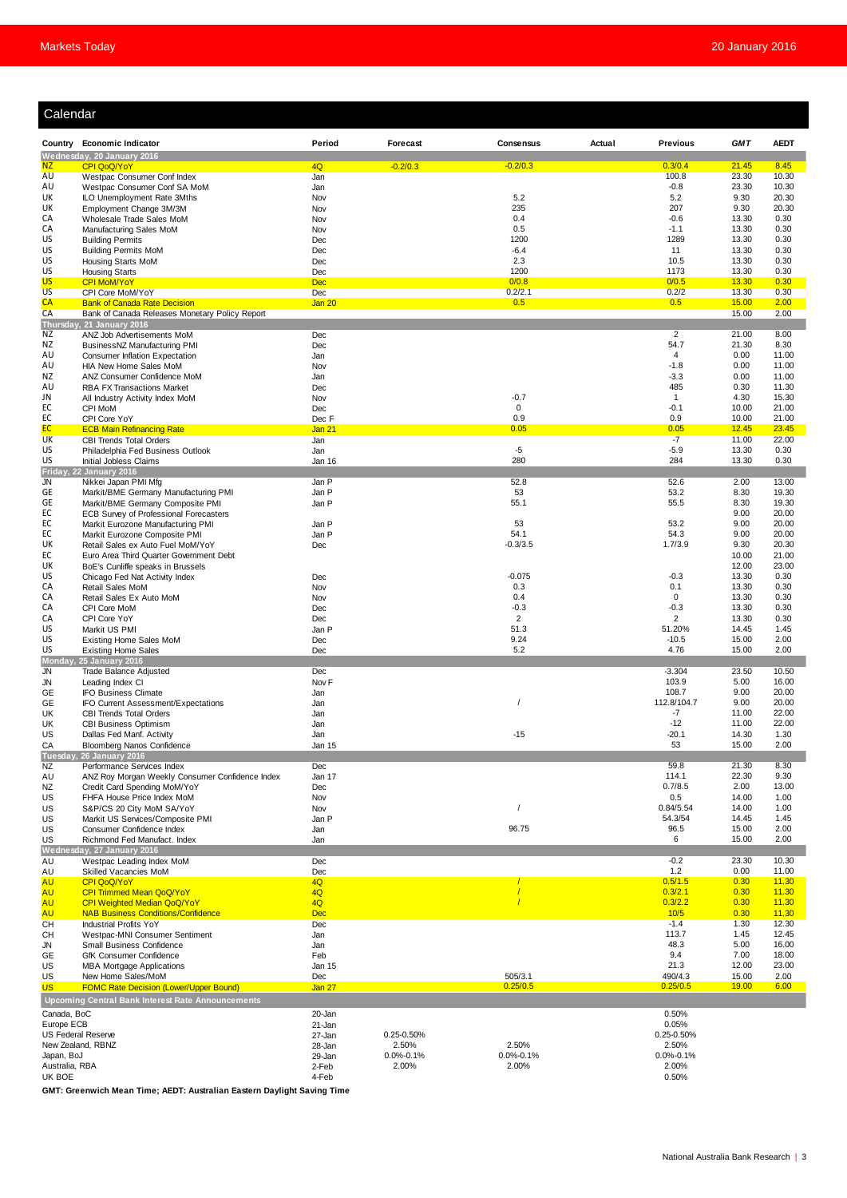| Calendar                                |                                                                                       |                         |                 |                       |        |                        |                |                |
|-----------------------------------------|---------------------------------------------------------------------------------------|-------------------------|-----------------|-----------------------|--------|------------------------|----------------|----------------|
|                                         | Country Economic Indicator                                                            | Period                  | Forecast        | <b>Consensus</b>      | Actual | <b>Previous</b>        | <b>GMT</b>     | <b>AEDT</b>    |
| NZ                                      | Wednesday, 20 January 2016<br>CPI QoQ/YoY                                             | 4Q                      | $-0.2/0.3$      | $-0.2/0.3$            |        | 0.3/0.4                | 21.45          | 8.45           |
| AU                                      | Westpac Consumer Conf Index                                                           | Jan                     |                 |                       |        | 100.8                  | 23.30          | 10.30          |
| AU                                      | Westpac Consumer Conf SA MoM                                                          | Jan                     |                 |                       |        | $-0.8$                 | 23.30          | 10.30          |
| UK<br>UK                                | ILO Unemployment Rate 3Mths<br>Employment Change 3M/3M                                | Nov<br>Nov              |                 | 5.2<br>235            |        | 5.2<br>207             | 9.30<br>9.30   | 20.30<br>20.30 |
| CA                                      | Wholesale Trade Sales MoM                                                             | Nov                     |                 | 0.4                   |        | $-0.6$                 | 13.30          | 0.30           |
| CA                                      | Manufacturing Sales MoM                                                               | Nov                     |                 | 0.5                   |        | $-1.1$                 | 13.30          | 0.30           |
| US                                      | <b>Building Permits</b>                                                               | Dec                     |                 | 1200                  |        | 1289                   | 13.30          | 0.30           |
| US<br>US                                | <b>Building Permits MoM</b><br><b>Housing Starts MoM</b>                              | Dec<br>Dec              |                 | $-6.4$<br>2.3         |        | 11<br>10.5             | 13.30<br>13.30 | 0.30<br>0.30   |
| US                                      | <b>Housing Starts</b>                                                                 | Dec                     |                 | 1200                  |        | 1173                   | 13.30          | 0.30           |
| <b>US</b>                               | <b>CPI MoM/YoY</b>                                                                    | <b>Dec</b>              |                 | 0/0.8                 |        | 0/0.5                  | 13.30          | 0.30           |
| <b>US</b>                               | CPI Core MoM/YoY                                                                      | Dec                     |                 | 0.2/2.1               |        | 0.2/2                  | 13.30          | 0.30           |
| CA<br>CA                                | <b>Bank of Canada Rate Decision</b><br>Bank of Canada Releases Monetary Policy Report | Jan 20                  |                 | 0.5                   |        | 0.5                    | 15.00<br>15.00 | 2.00<br>2.00   |
|                                         | Thursday, 21 January 2016                                                             |                         |                 |                       |        |                        |                |                |
| ΝZ                                      | ANZ Job Advertisements MoM                                                            | Dec                     |                 |                       |        | $\overline{2}$         | 21.00          | 8.00           |
| ΝZ<br>AU                                | BusinessNZ Manufacturing PMI<br>Consumer Inflation Expectation                        | Dec<br>Jan              |                 |                       |        | 54.7<br>4              | 21.30<br>0.00  | 8.30<br>11.00  |
| AU                                      | HIA New Home Sales MoM                                                                | Nov                     |                 |                       |        | $-1.8$                 | 0.00           | 11.00          |
| ΝZ                                      | ANZ Consumer Confidence MoM                                                           | Jan                     |                 |                       |        | $-3.3$                 | 0.00           | 11.00          |
| AU                                      | <b>RBA FX Transactions Market</b>                                                     | Dec                     |                 |                       |        | 485                    | 0.30           | 11.30          |
| JN<br>EC                                | All Industry Activity Index MoM<br>CPI MoM                                            | Nov<br>Dec              |                 | $-0.7$<br>$\mathbf 0$ |        | $\mathbf{1}$<br>$-0.1$ | 4.30<br>10.00  | 15.30<br>21.00 |
| EC                                      | CPI Core YoY                                                                          | Dec F                   |                 | 0.9                   |        | 0.9                    | 10.00          | 21.00          |
| EC                                      | <b>ECB Main Refinancing Rate</b>                                                      | Jan 21                  |                 | 0.05                  |        | 0.05                   | 12.45          | 23.45          |
| UK<br>US                                | <b>CBI Trends Total Orders</b><br>Philadelphia Fed Business Outlook                   | Jan<br>Jan              |                 | $-5$                  |        | $-7$<br>$-5.9$         | 11.00<br>13.30 | 22.00<br>0.30  |
| US                                      | Initial Jobless Claims                                                                | Jan 16                  |                 | 280                   |        | 284                    | 13.30          | 0.30           |
| Friday,                                 | <b>22 January 2016</b>                                                                |                         |                 |                       |        |                        |                |                |
| <b>JN</b>                               | Nikkei Japan PMI Mfg                                                                  | Jan P                   |                 | 52.8                  |        | 52.6<br>53.2           | 2.00           | 13.00          |
| GE<br>GE                                | Markit/BME Germany Manufacturing PMI<br>Markit/BME Germany Composite PMI              | Jan P<br>Jan P          |                 | 53<br>55.1            |        | 55.5                   | 8.30<br>8.30   | 19.30<br>19.30 |
| EC                                      | ECB Survey of Professional Forecasters                                                |                         |                 |                       |        |                        | 9.00           | 20.00          |
| EC                                      | Markit Eurozone Manufacturing PMI                                                     | Jan P                   |                 | 53                    |        | 53.2                   | 9.00           | 20.00          |
| EC<br>UK                                | Markit Eurozone Composite PMI<br>Retail Sales ex Auto Fuel MoM/YoY                    | Jan P<br>Dec            |                 | 54.1<br>$-0.3/3.5$    |        | 54.3<br>1.7/3.9        | 9.00<br>9.30   | 20.00<br>20.30 |
| EC                                      | Euro Area Third Quarter Government Debt                                               |                         |                 |                       |        |                        | 10.00          | 21.00          |
| UK                                      | BoE's Cunliffe speaks in Brussels                                                     |                         |                 |                       |        |                        | 12.00          | 23.00          |
| US                                      | Chicago Fed Nat Activity Index                                                        | Dec                     |                 | $-0.075$              |        | $-0.3$                 | 13.30          | 0.30           |
| CA<br>CA                                | Retail Sales MoM<br>Retail Sales Ex Auto MoM                                          | Nov<br>Nov              |                 | 0.3<br>0.4            |        | 0.1<br>$\mathbf 0$     | 13.30<br>13.30 | 0.30<br>0.30   |
| CA                                      | CPI Core MoM                                                                          | Dec                     |                 | $-0.3$                |        | $-0.3$                 | 13.30          | 0.30           |
| CA                                      | CPI Core YoY                                                                          | Dec                     |                 | $\overline{2}$        |        | $\overline{2}$         | 13.30          | 0.30           |
| US                                      | Markit US PMI                                                                         | Jan P                   |                 | 51.3                  |        | 51.20%                 | 14.45          | 1.45           |
| US<br>US                                | <b>Existing Home Sales MoM</b><br><b>Existing Home Sales</b>                          | Dec<br>Dec              |                 | 9.24<br>5.2           |        | $-10.5$<br>4.76        | 15.00<br>15.00 | 2.00<br>2.00   |
|                                         | Monday, 25 January 2016                                                               |                         |                 |                       |        |                        |                |                |
| JN                                      | <b>Trade Balance Adjusted</b>                                                         | Dec                     |                 |                       |        | $-3.304$               | 23.50          | 10.50          |
| <b>JN</b><br>GE                         | Leading Index CI<br><b>IFO Business Climate</b>                                       | Nov <sub>F</sub><br>Jan |                 |                       |        | 103.9<br>108.7         | 5.00<br>9.00   | 16.00<br>20.00 |
| GE                                      | IFO Current Assessment/Expectations                                                   | Jan                     |                 |                       |        | 112.8/104.7            | 9.00           | 20.00          |
| UK                                      | <b>CBI Trends Total Orders</b>                                                        | Jan                     |                 |                       |        | $-7$                   | 11.00          | 22.00          |
| UK<br><b>US</b>                         | <b>CBI Business Optimism</b><br>Dallas Fed Manf. Activity                             | Jan<br>Jan              |                 | $-15$                 |        | $-12$<br>$-20.1$       | 11.00<br>14.30 | 22.00<br>1.30  |
| CA                                      | Bloomberg Nanos Confidence                                                            | Jan 15                  |                 |                       |        | 53                     | 15.00          | 2.00           |
|                                         | Tuesday, 26 January 2016                                                              |                         |                 |                       |        |                        |                |                |
| <b>NZ</b><br>AU                         | Performance Services Index                                                            | Dec<br>Jan 17           |                 |                       |        | 59.8<br>114.1          | 21.30<br>22.30 | 8.30<br>9.30   |
| <b>NZ</b>                               | ANZ Roy Morgan Weekly Consumer Confidence Index<br>Credit Card Spending MoM/YoY       | Dec                     |                 |                       |        | 0.7/8.5                | 2.00           | 13.00          |
| US                                      | FHFA House Price Index MoM                                                            | Nov                     |                 |                       |        | 0.5                    | 14.00          | 1.00           |
| US                                      | S&P/CS 20 City MoM SA/YoY                                                             | Nov                     |                 | $\prime$              |        | 0.84/5.54              | 14.00          | 1.00           |
| US<br>US                                | Markit US Services/Composite PMI<br>Consumer Confidence Index                         | Jan P<br>Jan            |                 | 96.75                 |        | 54.3/54<br>96.5        | 14.45<br>15.00 | 1.45<br>2.00   |
| US                                      | Richmond Fed Manufact. Index                                                          | Jan                     |                 |                       |        | 6                      | 15.00          | 2.00           |
|                                         | Wednesday, 27 January 2016                                                            |                         |                 |                       |        | $-0.2$                 |                |                |
| AU<br>AU                                | Westpac Leading Index MoM<br>Skilled Vacancies MoM                                    | Dec<br>Dec              |                 |                       |        | 1.2                    | 23.30<br>0.00  | 10.30<br>11.00 |
| <b>AU</b>                               | CPI QoQ/YoY                                                                           | 4Q                      |                 |                       |        | 0.5/1.5                | 0.30           | 11.30          |
| <b>AU</b>                               | <b>CPI Trimmed Mean QoQ/YoY</b>                                                       | 4Q                      |                 |                       |        | 0.3/2.1                | 0.30           | 11.30          |
| <b>AU</b><br><b>AU</b>                  | CPI Weighted Median QoQ/YoY<br><b>NAB Business Conditions/Confidence</b>              | 4Q<br><b>Dec</b>        |                 |                       |        | 0.3/2.2<br>10/5        | 0.30<br>0.30   | 11.30<br>11.30 |
| <b>CH</b>                               | Industrial Profits YoY                                                                | Dec                     |                 |                       |        | $-1.4$                 | 1.30           | 12.30          |
| CН                                      | Westpac-MNI Consumer Sentiment                                                        | Jan                     |                 |                       |        | 113.7                  | 1.45           | 12.45          |
| JN                                      | Small Business Confidence                                                             | Jan                     |                 |                       |        | 48.3<br>9.4            | 5.00<br>7.00   | 16.00          |
| GE<br>US                                | GfK Consumer Confidence<br><b>MBA Mortgage Applications</b>                           | Feb<br>Jan 15           |                 |                       |        | 21.3                   | 12.00          | 18.00<br>23.00 |
| US                                      | New Home Sales/MoM                                                                    | Dec                     |                 | 505/3.1               |        | 490/4.3                | 15.00          | 2.00           |
| <b>US</b>                               | <b>FOMC Rate Decision (Lower/Upper Bound)</b>                                         | Jan 27                  |                 | 0.25/0.5              |        | 0.25/0.5               | 19.00          | 6.00           |
|                                         | <b>Upcoming Central Bank Interest Rate Announcements</b>                              |                         |                 |                       |        |                        |                |                |
| Canada, BoC                             |                                                                                       | 20-Jan                  |                 |                       |        | 0.50%                  |                |                |
| Europe ECB<br><b>US Federal Reserve</b> |                                                                                       | 21-Jan<br>27-Jan        | 0.25-0.50%      |                       |        | 0.05%<br>0.25-0.50%    |                |                |
| New Zealand, RBNZ                       |                                                                                       | 28-Jan                  | 2.50%           | 2.50%                 |        | 2.50%                  |                |                |
| Japan, BoJ                              |                                                                                       | 29-Jan                  | $0.0\% - 0.1\%$ | $0.0\% - 0.1\%$       |        | $0.0\% - 0.1\%$        |                |                |
| Australia, RBA<br>UK BOE                |                                                                                       | 2-Feb<br>4-Feb          | 2.00%           | 2.00%                 |        | 2.00%<br>0.50%         |                |                |

**GMT: Greenwich Mean Time; AEDT: Australian Eastern Daylight Saving Time**